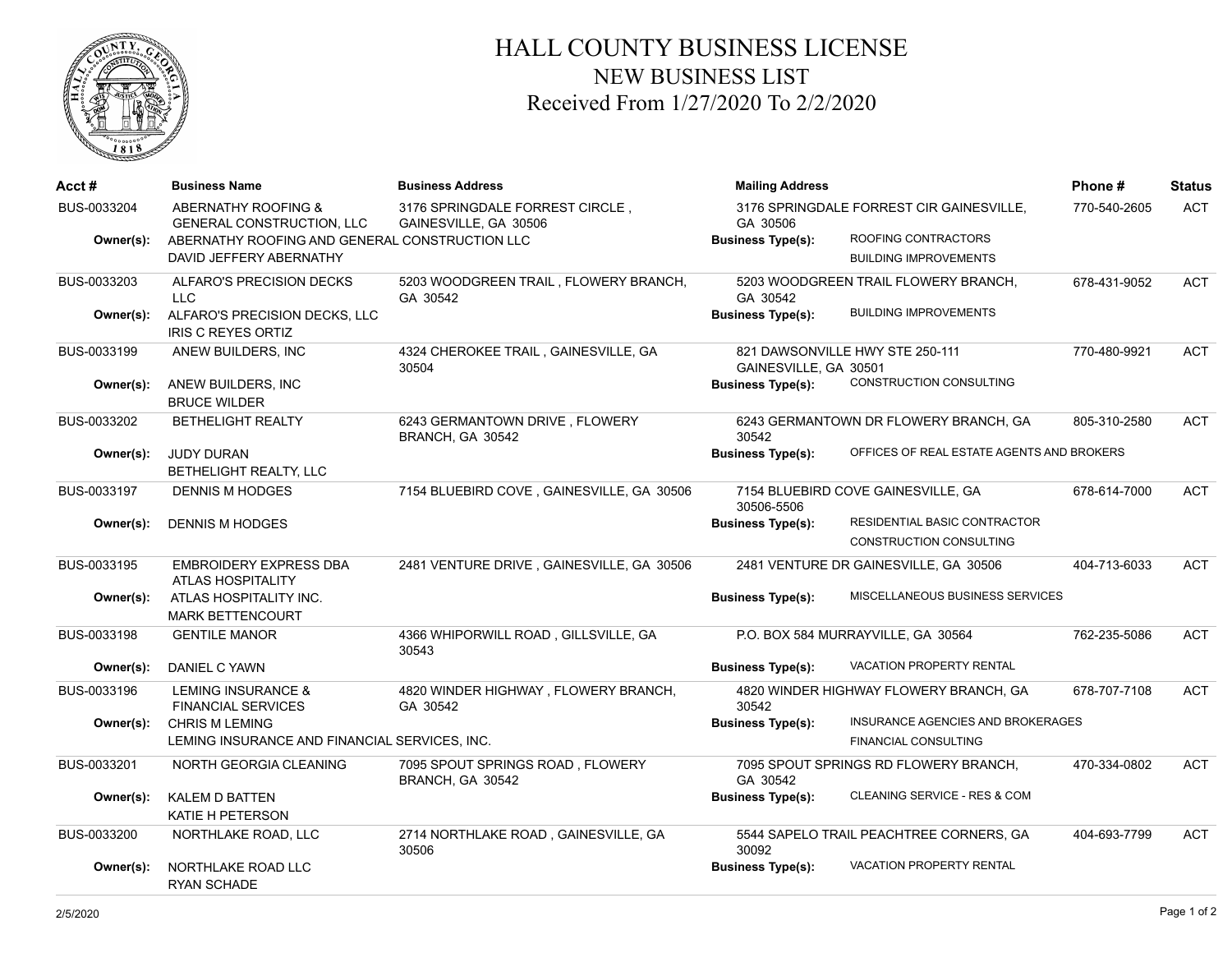

## HALL COUNTY BUSINESS LICENSE NEW BUSINESS LIST Received From 1/27/2020 To 2/2/2020

| Acct #                   | <b>Business Name</b>                                                                                                                            | <b>Business Address</b>                                  | <b>Mailing Address</b>               |                                                                                                 | Phone#       | <b>Status</b> |
|--------------------------|-------------------------------------------------------------------------------------------------------------------------------------------------|----------------------------------------------------------|--------------------------------------|-------------------------------------------------------------------------------------------------|--------------|---------------|
| BUS-0033204<br>Owner(s): | <b>ABERNATHY ROOFING &amp;</b><br><b>GENERAL CONSTRUCTION, LLC</b><br>ABERNATHY ROOFING AND GENERAL CONSTRUCTION LLC<br>DAVID JEFFERY ABERNATHY | 3176 SPRINGDALE FORREST CIRCLE.<br>GAINESVILLE, GA 30506 | GA 30506<br><b>Business Type(s):</b> | 3176 SPRINGDALE FORREST CIR GAINESVILLE.<br>ROOFING CONTRACTORS<br><b>BUILDING IMPROVEMENTS</b> | 770-540-2605 | <b>ACT</b>    |
| BUS-0033203              | ALFARO'S PRECISION DECKS                                                                                                                        | 5203 WOODGREEN TRAIL, FLOWERY BRANCH,                    | 5203 WOODGREEN TRAIL FLOWERY BRANCH, |                                                                                                 | 678-431-9052 | <b>ACT</b>    |
| Owner(s):                | <b>LLC</b><br>ALFARO'S PRECISION DECKS, LLC<br><b>IRIS C REYES ORTIZ</b>                                                                        | GA 30542                                                 | GA 30542<br><b>Business Type(s):</b> | <b>BUILDING IMPROVEMENTS</b>                                                                    |              |               |
| BUS-0033199              | ANEW BUILDERS, INC                                                                                                                              | 4324 CHEROKEE TRAIL, GAINESVILLE, GA<br>30504            | GAINESVILLE, GA 30501                | 821 DAWSONVILLE HWY STE 250-111                                                                 | 770-480-9921 | <b>ACT</b>    |
| Owner(s):                | ANEW BUILDERS, INC<br><b>BRUCE WILDER</b>                                                                                                       |                                                          | <b>Business Type(s):</b>             | CONSTRUCTION CONSULTING                                                                         |              |               |
| BUS-0033202              | <b>BETHELIGHT REALTY</b>                                                                                                                        | 6243 GERMANTOWN DRIVE, FLOWERY<br>BRANCH, GA 30542       | 30542                                | 6243 GERMANTOWN DR FLOWERY BRANCH, GA                                                           | 805-310-2580 | <b>ACT</b>    |
| Owner(s):                | <b>JUDY DURAN</b><br>BETHELIGHT REALTY, LLC                                                                                                     |                                                          | <b>Business Type(s):</b>             | OFFICES OF REAL ESTATE AGENTS AND BROKERS                                                       |              |               |
| BUS-0033197              | <b>DENNIS M HODGES</b>                                                                                                                          | 7154 BLUEBIRD COVE, GAINESVILLE, GA 30506                | 30506-5506                           | 7154 BLUEBIRD COVE GAINESVILLE, GA                                                              | 678-614-7000 | <b>ACT</b>    |
| Owner(s):                | <b>DENNIS M HODGES</b>                                                                                                                          |                                                          | <b>Business Type(s):</b>             | RESIDENTIAL BASIC CONTRACTOR<br>CONSTRUCTION CONSULTING                                         |              |               |
| BUS-0033195              | <b>EMBROIDERY EXPRESS DBA</b><br><b>ATLAS HOSPITALITY</b>                                                                                       | 2481 VENTURE DRIVE, GAINESVILLE, GA 30506                |                                      | 2481 VENTURE DR GAINESVILLE, GA 30506                                                           | 404-713-6033 | <b>ACT</b>    |
| Owner(s):                | ATLAS HOSPITALITY INC.<br><b>MARK BETTENCOURT</b>                                                                                               |                                                          | <b>Business Type(s):</b>             | MISCELLANEOUS BUSINESS SERVICES                                                                 |              |               |
| BUS-0033198              | <b>GENTILE MANOR</b>                                                                                                                            | 4366 WHIPORWILL ROAD, GILLSVILLE, GA<br>30543            |                                      | P.O. BOX 584 MURRAYVILLE, GA 30564                                                              | 762-235-5086 | <b>ACT</b>    |
| Owner(s):                | <b>DANIEL C YAWN</b>                                                                                                                            |                                                          | <b>Business Type(s):</b>             | <b>VACATION PROPERTY RENTAL</b>                                                                 |              |               |
| BUS-0033196              | <b>LEMING INSURANCE &amp;</b><br><b>FINANCIAL SERVICES</b>                                                                                      | 4820 WINDER HIGHWAY, FLOWERY BRANCH,<br>GA 30542         | 30542                                | 4820 WINDER HIGHWAY FLOWERY BRANCH, GA                                                          | 678-707-7108 | <b>ACT</b>    |
| Owner(s):                | <b>CHRIS M LEMING</b><br>LEMING INSURANCE AND FINANCIAL SERVICES, INC.                                                                          |                                                          | <b>Business Type(s):</b>             | INSURANCE AGENCIES AND BROKERAGES<br><b>FINANCIAL CONSULTING</b>                                |              |               |
| BUS-0033201              | NORTH GEORGIA CLEANING                                                                                                                          | 7095 SPOUT SPRINGS ROAD, FLOWERY<br>BRANCH, GA 30542     | GA 30542                             | 7095 SPOUT SPRINGS RD FLOWERY BRANCH,                                                           | 470-334-0802 | <b>ACT</b>    |
| Owner(s):                | KALEM D BATTEN<br>KATIE H PETERSON                                                                                                              |                                                          | <b>Business Type(s):</b>             | CLEANING SERVICE - RES & COM                                                                    |              |               |
| BUS-0033200              | NORTHLAKE ROAD, LLC                                                                                                                             | 2714 NORTHLAKE ROAD, GAINESVILLE, GA<br>30506            | 30092                                | 5544 SAPELO TRAIL PEACHTREE CORNERS, GA                                                         | 404-693-7799 | <b>ACT</b>    |
| Owner(s):                | NORTHLAKE ROAD LLC<br>RYAN SCHADE                                                                                                               |                                                          | <b>Business Type(s):</b>             | VACATION PROPERTY RENTAL                                                                        |              |               |